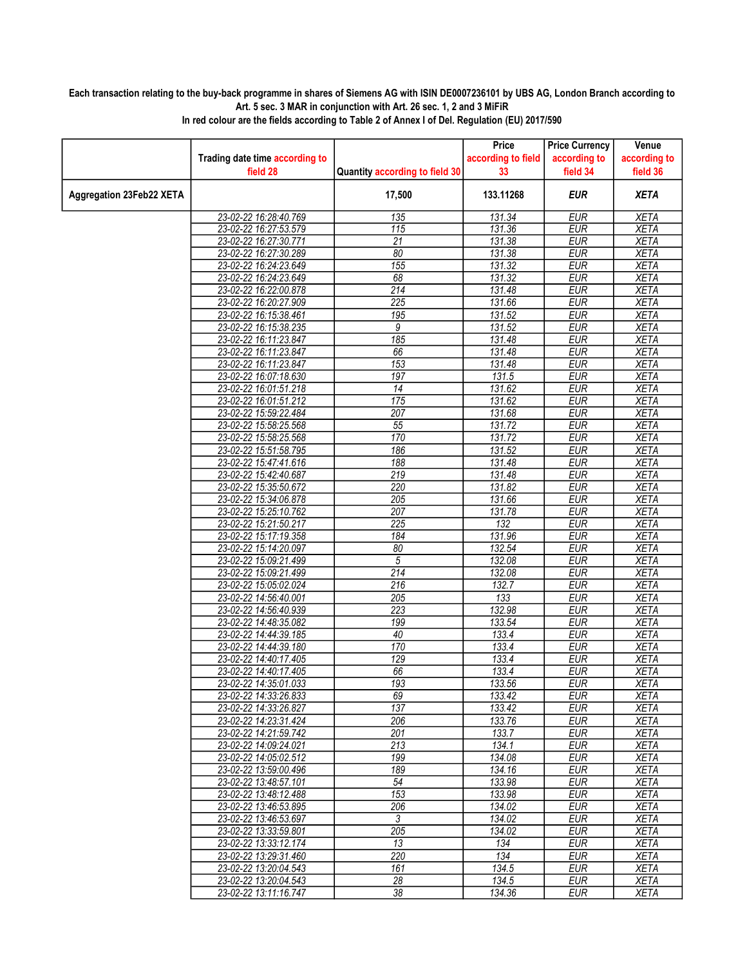## Each transaction relating to the buy-back programme in shares of Siemens AG with ISIN DE0007236101 by UBS AG, London Branch according to Art. 5 sec. 3 MAR in conjunction with Art. 26 sec. 1, 2 and 3 MiFiR

|                          |                                                |                                | Price              | <b>Price Currency</b>    | Venue                      |
|--------------------------|------------------------------------------------|--------------------------------|--------------------|--------------------------|----------------------------|
|                          | Trading date time according to                 |                                | according to field | according to             | according to               |
|                          | field 28                                       | Quantity according to field 30 | 33                 | field 34                 | field 36                   |
| Aggregation 23Feb22 XETA |                                                | 17,500                         | 133.11268          | <b>EUR</b>               | <b>XETA</b>                |
|                          | 23-02-22 16:28:40.769                          | 135                            | 131.34             | <b>EUR</b>               | <b>XETA</b>                |
|                          | 23-02-22 16:27:53.579                          | 115                            | 131.36             | <b>EUR</b>               | <b>XETA</b>                |
|                          | 23-02-22 16:27:30.771                          | 21                             | 131.38             | <b>EUR</b>               | <b>XETA</b>                |
|                          | 23-02-22 16:27:30.289                          | 80                             | 131.38             | <b>EUR</b>               | <b>XETA</b>                |
|                          | 23-02-22 16:24:23.649                          | 155                            | 131.32             | <b>EUR</b>               | <b>XETA</b>                |
|                          | 23-02-22 16:24:23.649                          | 68                             | 131.32             | <b>EUR</b>               | <b>XETA</b>                |
|                          | 23-02-22 16:22:00.878                          | $\overline{214}$               | 131.48             | <b>EUR</b>               | <b>XETA</b>                |
|                          | 23-02-22 16:20:27.909                          | 225                            | 131.66             | <b>EUR</b>               | <b>XETA</b>                |
|                          | 23-02-22 16:15:38.461                          | 195                            | 131.52             | <b>EUR</b>               | <b>XETA</b>                |
|                          | 23-02-22 16:15:38.235                          | 9                              | 131.52             | <b>EUR</b>               | <b>XETA</b>                |
|                          | 23-02-22 16:11:23.847                          | 185                            | 131.48             | <b>EUR</b>               | <b>XETA</b>                |
|                          | 23-02-22 16:11:23.847                          | 66                             | 131.48             | <b>EUR</b>               | <b>XETA</b>                |
|                          | 23-02-22 16:11:23.847                          | 153                            | 131.48             | <b>EUR</b>               | <b>XETA</b>                |
|                          | 23-02-22 16:07:18.630                          | 197                            | 131.5              | <b>EUR</b>               | <b>XETA</b>                |
|                          | 23-02-22 16:01:51.218                          | $\overline{14}$                | 131.62             | <b>EUR</b>               | <b>XETA</b>                |
|                          | 23-02-22 16:01:51.212                          | 175                            | 131.62             | <b>EUR</b>               | <b>XETA</b>                |
|                          | 23-02-22 15:59:22.484                          | $\overline{207}$               | 131.68<br>131.72   | <b>EUR</b>               | <b>XETA</b>                |
|                          | 23-02-22 15:58:25.568                          | $\overline{55}$                |                    | <b>EUR</b>               | <b>XETA</b>                |
|                          | 23-02-22 15:58:25.568<br>23-02-22 15:51:58.795 | 170<br>186                     | 131.72<br>131.52   | <b>EUR</b><br><b>EUR</b> | <b>XETA</b><br><b>XETA</b> |
|                          | 23-02-22 15:47:41.616                          | 188                            | 131.48             | <b>EUR</b>               | <b>XETA</b>                |
|                          | 23-02-22 15:42:40.687                          | 219                            | 131.48             | <b>EUR</b>               | <b>XETA</b>                |
|                          | 23-02-22 15:35:50.672                          | 220                            | 131.82             | <b>EUR</b>               | <b>XETA</b>                |
|                          | 23-02-22 15:34:06.878                          | $\overline{205}$               | 131.66             | <b>EUR</b>               | <b>XETA</b>                |
|                          | 23-02-22 15:25:10.762                          | 207                            | 131.78             | <b>EUR</b>               | <b>XETA</b>                |
|                          | 23-02-22 15:21:50.217                          | $\overline{225}$               | 132                | <b>EUR</b>               | <b>XETA</b>                |
|                          | 23-02-22 15:17:19.358                          | 184                            | 131.96             | <b>EUR</b>               | <b>XETA</b>                |
|                          | 23-02-22 15:14:20.097                          | 80                             | 132.54             | <b>EUR</b>               | <b>XETA</b>                |
|                          | 23-02-22 15:09:21.499                          | 5                              | 132.08             | <b>EUR</b>               | <b>XETA</b>                |
|                          | 23-02-22 15:09:21.499                          | $\overline{214}$               | 132.08             | <b>EUR</b>               | <b>XETA</b>                |
|                          | 23-02-22 15:05:02.024                          | 216                            | 132.7              | <b>EUR</b>               | <b>XETA</b>                |
|                          | 23-02-22 14:56:40.001                          | $\overline{205}$               | 133                | <b>EUR</b>               | <b>XETA</b>                |
|                          | 23-02-22 14:56:40.939                          | 223                            | 132.98             | <b>EUR</b>               | <b>XETA</b>                |
|                          | 23-02-22 14:48:35.082                          | 199                            | 133.54             | <b>EUR</b>               | <b>XETA</b>                |
|                          | 23-02-22 14:44:39.185                          | 40                             | 133.4              | <b>EUR</b>               | <b>XETA</b>                |
|                          | 23-02-22 14:44:39.180                          | 170                            | 133.4              | <b>EUR</b>               | <b>XETA</b>                |
|                          | 23-02-22 14:40:17.405                          | 129                            | 133.4              | <b>EUR</b>               | <b>XETA</b>                |
|                          | 23-02-22 14:40:17.405                          | 66                             | 133.4              | <b>EUR</b>               | XETA                       |
|                          | 23-02-22 14:35:01.033                          | 193                            | 133.56             | <b>EUR</b>               | <b>XETA</b>                |
|                          | 23-02-22 14:33:26.833                          | 69                             | 133.42             | EUR                      | <b>XETA</b>                |
|                          | 23-02-22 14:33:26.827                          | 137                            | 133.42             | EUR                      | XETA                       |
|                          | 23-02-22 14:23:31.424                          | 206                            | 133.76             | <b>EUR</b>               | <b>XETA</b>                |
|                          | 23-02-22 14:21:59.742                          | $\overline{201}$               | 133.7              | <b>EUR</b>               | <b>XETA</b>                |
|                          | 23-02-22 14:09:24.021                          | 213                            | 134.1              | EUR                      | <b>XETA</b>                |
|                          | 23-02-22 14:05:02.512                          | 199                            | 134.08             | <b>EUR</b>               | <b>XETA</b>                |
|                          | 23-02-22 13:59:00.496                          | 189                            | 134.16             | <b>EUR</b>               | <b>XETA</b>                |
|                          | 23-02-22 13:48:57.101                          | 54                             | 133.98             | EUR                      | XETA                       |
|                          | 23-02-22 13:48:12.488                          | 153                            | 133.98             | <b>EUR</b>               | <b>XETA</b>                |
|                          | 23-02-22 13:46:53.895                          | 206                            | 134.02             | <b>EUR</b>               | <b>XETA</b>                |
|                          | 23-02-22 13:46:53.697                          | 3                              | 134.02             | <b>EUR</b>               | <b>XETA</b>                |
|                          | 23-02-22 13:33:59.801                          | $\overline{205}$               | 134.02             | <b>EUR</b>               | <b>XETA</b>                |
|                          | 23-02-22 13:33:12.174                          | 13                             | 134                | <b>EUR</b>               | <b>XETA</b>                |
|                          | 23-02-22 13:29:31.460                          | 220                            | 134                | EUR<br><b>EUR</b>        | <b>XETA</b>                |
|                          | 23-02-22 13:20:04.543<br>23-02-22 13:20:04.543 | 161<br>28                      | 134.5<br>134.5     | <b>EUR</b>               | <b>XETA</b><br><b>XETA</b> |
|                          |                                                | $\overline{38}$                |                    |                          |                            |
|                          | 23-02-22 13:11:16.747                          |                                | 134.36             | <b>EUR</b>               | <b>XETA</b>                |

In red colour are the fields according to Table 2 of Annex I of Del. Regulation (EU) 2017/590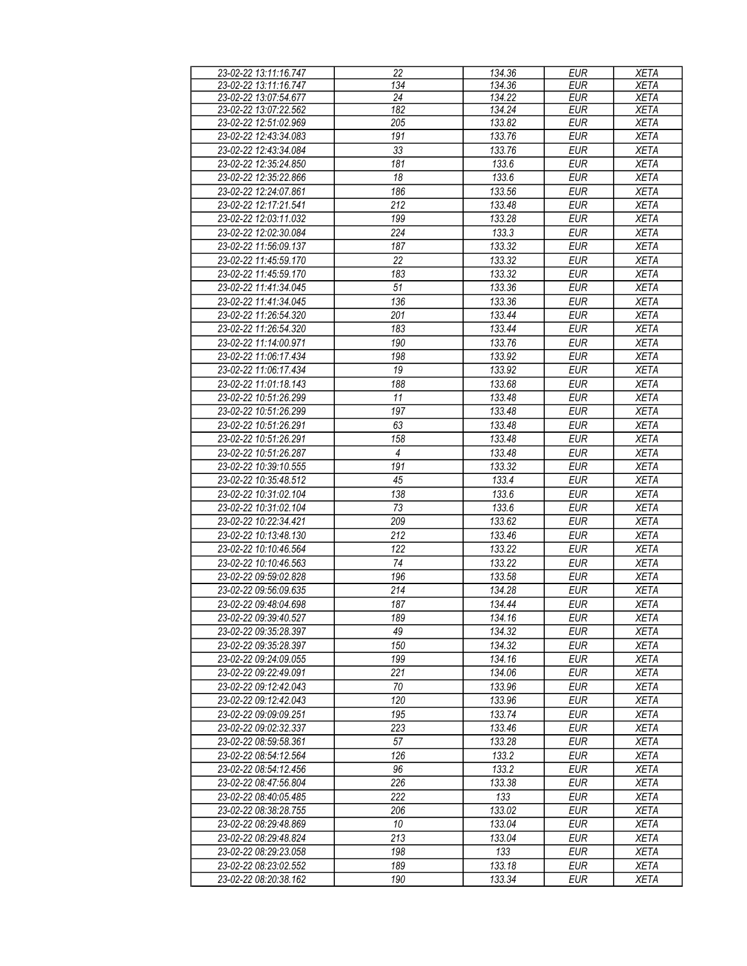| 23-02-22 13:11:16.747 | 22               | 134.36 | <b>EUR</b> | <b>XETA</b> |
|-----------------------|------------------|--------|------------|-------------|
| 23-02-22 13:11:16.747 | 134              | 134.36 | <b>EUR</b> | <b>XETA</b> |
| 23-02-22 13:07:54.677 | 24               | 134.22 | <b>EUR</b> | <b>XETA</b> |
| 23-02-22 13:07:22.562 | 182              | 134.24 | <b>EUR</b> | <b>XETA</b> |
|                       | 205              |        |            |             |
| 23-02-22 12:51:02.969 |                  | 133.82 | <b>EUR</b> | <b>XETA</b> |
| 23-02-22 12:43:34.083 | 191              | 133.76 | <b>EUR</b> | <b>XETA</b> |
| 23-02-22 12:43:34.084 | 33               | 133.76 | <b>EUR</b> | <b>XETA</b> |
| 23-02-22 12:35:24.850 | 181              | 133.6  | <b>EUR</b> | <b>XETA</b> |
| 23-02-22 12:35:22.866 | 18               | 133.6  | <b>EUR</b> | <b>XETA</b> |
| 23-02-22 12:24:07.861 | 186              | 133.56 | <b>EUR</b> | <b>XETA</b> |
|                       |                  |        |            |             |
| 23-02-22 12:17:21.541 | 212              | 133.48 | <b>EUR</b> | <b>XETA</b> |
| 23-02-22 12:03:11.032 | 199              | 133.28 | <b>EUR</b> | <b>XETA</b> |
| 23-02-22 12:02:30.084 | $\overline{224}$ | 133.3  | <b>EUR</b> | <b>XETA</b> |
| 23-02-22 11:56:09.137 | 187              | 133.32 | <b>EUR</b> | <b>XETA</b> |
| 23-02-22 11:45:59.170 | 22               | 133.32 | <b>EUR</b> | <b>XETA</b> |
| 23-02-22 11:45:59.170 | 183              | 133.32 | <b>EUR</b> | <b>XETA</b> |
|                       |                  |        |            |             |
| 23-02-22 11:41:34.045 | 51               | 133.36 | <b>EUR</b> | <b>XETA</b> |
| 23-02-22 11:41:34.045 | 136              | 133.36 | <b>EUR</b> | <b>XETA</b> |
| 23-02-22 11:26:54.320 | 201              | 133.44 | <b>EUR</b> | <b>XETA</b> |
| 23-02-22 11:26:54.320 | 183              | 133.44 | <b>EUR</b> | <b>XETA</b> |
| 23-02-22 11:14:00.971 | 190              | 133.76 | <b>EUR</b> | <b>XETA</b> |
| 23-02-22 11:06:17.434 | 198              | 133.92 | <b>EUR</b> | <b>XETA</b> |
| 23-02-22 11:06:17.434 | 19               | 133.92 |            |             |
|                       |                  |        | <b>EUR</b> | <b>XETA</b> |
| 23-02-22 11:01:18.143 | 188              | 133.68 | <b>EUR</b> | <b>XETA</b> |
| 23-02-22 10:51:26.299 | 11               | 133.48 | <b>EUR</b> | <b>XETA</b> |
| 23-02-22 10:51:26.299 | 197              | 133.48 | <b>EUR</b> | <b>XETA</b> |
| 23-02-22 10:51:26.291 | 63               | 133.48 | <b>EUR</b> | <b>XETA</b> |
| 23-02-22 10:51:26.291 | 158              | 133.48 | <b>EUR</b> | <b>XETA</b> |
| 23-02-22 10:51:26.287 | $\overline{4}$   | 133.48 | <b>EUR</b> | <b>XETA</b> |
|                       |                  |        |            |             |
| 23-02-22 10:39:10.555 | 191              | 133.32 | <b>EUR</b> | <b>XETA</b> |
| 23-02-22 10:35:48.512 | 45               | 133.4  | <b>EUR</b> | <b>XETA</b> |
| 23-02-22 10:31:02.104 | 138              | 133.6  | <b>EUR</b> | <b>XETA</b> |
| 23-02-22 10:31:02.104 | 73               | 133.6  | <b>EUR</b> | <b>XETA</b> |
| 23-02-22 10:22:34.421 | 209              | 133.62 | <b>EUR</b> | <b>XETA</b> |
| 23-02-22 10:13:48.130 | 212              | 133.46 | <b>EUR</b> | <b>XETA</b> |
|                       | 122              |        |            |             |
| 23-02-22 10:10:46.564 |                  | 133.22 | <b>EUR</b> | <b>XETA</b> |
| 23-02-22 10:10:46.563 | 74               | 133.22 | <b>EUR</b> | <b>XETA</b> |
| 23-02-22 09:59:02.828 | 196              | 133.58 | <b>EUR</b> | <b>XETA</b> |
| 23-02-22 09:56:09.635 | 214              | 134.28 | <b>EUR</b> | <b>XETA</b> |
| 23-02-22 09:48:04.698 | 187              | 134.44 | <b>EUR</b> | <b>XETA</b> |
| 23-02-22 09:39:40.527 | 189              | 134.16 | <b>EUR</b> | <b>XETA</b> |
| 23-02-22 09:35:28.397 | 49               | 134.32 | <b>EUR</b> | <b>XETA</b> |
|                       |                  |        |            |             |
| 23-02-22 09:35:28.397 | 150              | 134.32 | EUR        | XETA        |
| 23-02-22 09:24:09.055 | 199              | 134.16 | EUR        | <b>XETA</b> |
| 23-02-22 09:22:49.091 | 221              | 134.06 | <b>EUR</b> | XETA        |
| 23-02-22 09:12:42.043 | 70               | 133.96 | <b>EUR</b> | XETA        |
| 23-02-22 09:12:42.043 | 120              | 133.96 | EUR        | XETA        |
| 23-02-22 09:09:09.251 | 195              | 133.74 | <b>EUR</b> | <b>XETA</b> |
| 23-02-22 09:02:32.337 | 223              | 133.46 | <b>EUR</b> | <b>XETA</b> |
| 23-02-22 08:59:58.361 | 57               | 133.28 | <b>EUR</b> | <b>XETA</b> |
|                       |                  |        |            |             |
| 23-02-22 08:54:12.564 | 126              | 133.2  | EUR        | <b>XETA</b> |
| 23-02-22 08:54:12.456 | 96               | 133.2  | <b>EUR</b> | XETA        |
| 23-02-22 08:47:56.804 | 226              | 133.38 | <b>EUR</b> | XETA        |
| 23-02-22 08:40:05.485 | 222              | 133    | <b>EUR</b> | XETA        |
| 23-02-22 08:38:28.755 | 206              | 133.02 | <b>EUR</b> | XETA        |
| 23-02-22 08:29:48.869 | 10               | 133.04 | <b>EUR</b> | <b>XETA</b> |
|                       | 213              |        |            |             |
| 23-02-22 08:29:48.824 |                  | 133.04 | <b>EUR</b> | <b>XETA</b> |
| 23-02-22 08:29:23.058 | 198              | 133    | <b>EUR</b> | <b>XETA</b> |
| 23-02-22 08:23:02.552 | 189              | 133.18 | EUR        | <b>XETA</b> |
| 23-02-22 08:20:38.162 | 190              | 133.34 | EUR        | <b>XETA</b> |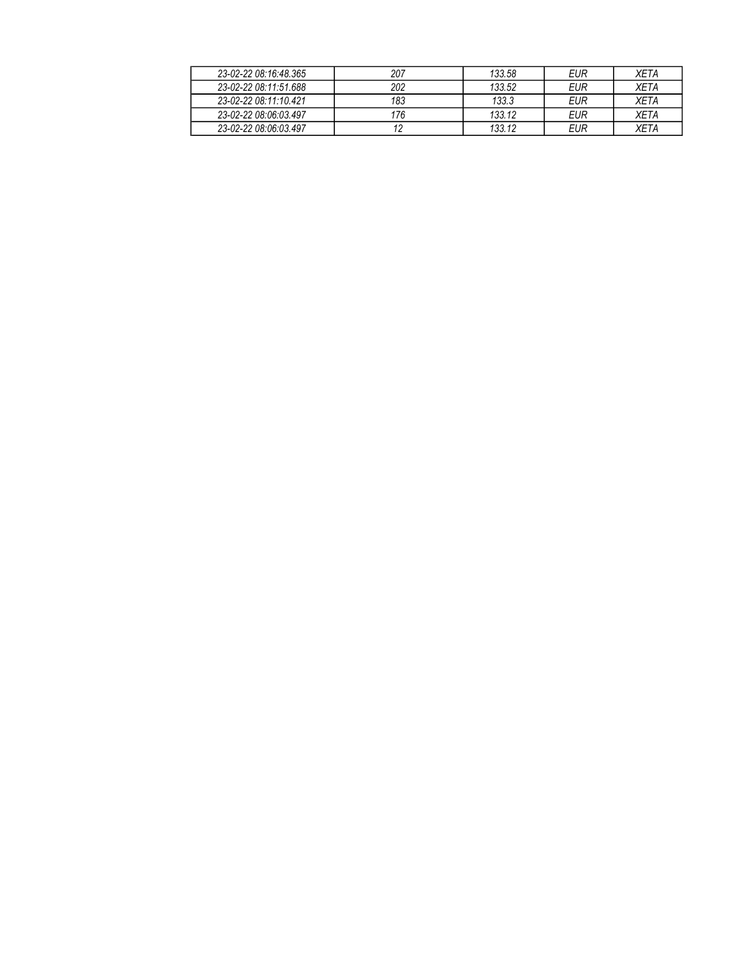| 23-02-22 08:16:48.365 | 207 | 133.58 | EUR | XFTA        |
|-----------------------|-----|--------|-----|-------------|
| 23-02-22 08:11:51.688 | 202 | 133.52 | EUR | <b>XFTA</b> |
| 23-02-22 08:11:10 421 | 183 | 133.3  | EUR | <b>XFTA</b> |
| 23-02-22 08:06:03.497 | 176 | 133.12 | EUR | XETA        |
| 23-02-22 08:06:03.497 |     | 133.12 | EUR | XETA        |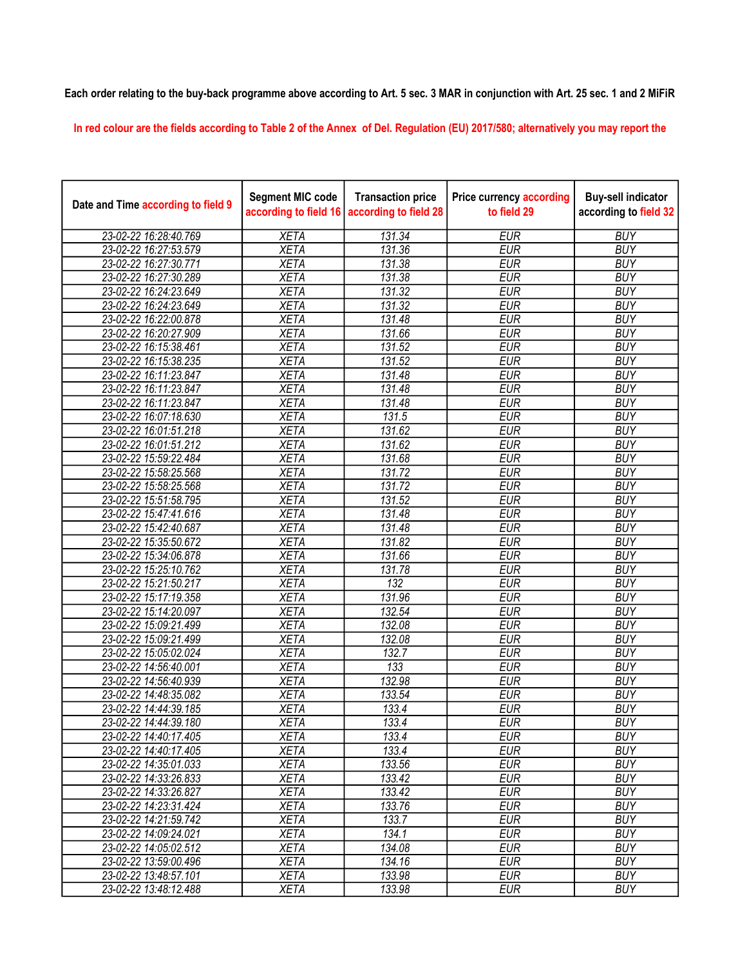## Each order relating to the buy-back programme above according to Art. 5 sec. 3 MAR in conjunction with Art. 25 sec. 1 and 2 MiFiR

In red colour are the fields according to Table 2 of the Annex of Del. Regulation (EU) 2017/580; alternatively you may report the

| Date and Time according to field 9 | <b>Segment MIC code</b><br>according to field 16 | <b>Transaction price</b><br>according to field 28 | <b>Price currency according</b><br>to field 29 | <b>Buy-sell indicator</b><br>according to field 32 |
|------------------------------------|--------------------------------------------------|---------------------------------------------------|------------------------------------------------|----------------------------------------------------|
| 23-02-22 16:28:40.769              | <b>XETA</b>                                      | 131.34                                            | <b>EUR</b>                                     | <b>BUY</b>                                         |
| 23-02-22 16:27:53.579              | <b>XETA</b>                                      | 131.36                                            | <b>EUR</b>                                     | <b>BUY</b>                                         |
| 23-02-22 16:27:30.771              | <b>XETA</b>                                      | 131.38                                            | <b>EUR</b>                                     | <b>BUY</b>                                         |
| 23-02-22 16:27:30.289              | <b>XETA</b>                                      | 131.38                                            | <b>EUR</b>                                     | <b>BUY</b>                                         |
| 23-02-22 16:24:23.649              | <b>XETA</b>                                      | 131.32                                            | <b>EUR</b>                                     | <b>BUY</b>                                         |
| 23-02-22 16:24:23.649              | <b>XETA</b>                                      | 131.32                                            | <b>EUR</b>                                     | <b>BUY</b>                                         |
| 23-02-22 16:22:00.878              | <b>XETA</b>                                      | 131.48                                            | <b>EUR</b>                                     | <b>BUY</b>                                         |
| 23-02-22 16:20:27.909              | <b>XETA</b>                                      | 131.66                                            | <b>EUR</b>                                     | <b>BUY</b>                                         |
| 23-02-22 16:15:38.461              | <b>XETA</b>                                      | 131.52                                            | <b>EUR</b>                                     | <b>BUY</b>                                         |
| 23-02-22 16:15:38.235              | <b>XETA</b>                                      | 131.52                                            | <b>EUR</b>                                     | <b>BUY</b>                                         |
| 23-02-22 16:11:23.847              | <b>XETA</b>                                      | 131.48                                            | <b>EUR</b>                                     | <b>BUY</b>                                         |
| 23-02-22 16:11:23.847              | <b>XETA</b>                                      | 131.48                                            | <b>EUR</b>                                     | <b>BUY</b>                                         |
| 23-02-22 16:11:23.847              | <b>XETA</b>                                      | 131.48                                            | <b>EUR</b>                                     | <b>BUY</b>                                         |
| 23-02-22 16:07:18.630              | <b>XETA</b>                                      | 131.5                                             | <b>EUR</b>                                     | <b>BUY</b>                                         |
| 23-02-22 16:01:51.218              | <b>XETA</b>                                      | 131.62                                            | <b>EUR</b>                                     | <b>BUY</b>                                         |
| 23-02-22 16:01:51.212              | <b>XETA</b>                                      | 131.62                                            | <b>EUR</b>                                     | <b>BUY</b>                                         |
| 23-02-22 15:59:22.484              | <b>XETA</b>                                      | 131.68                                            | <b>EUR</b>                                     | <b>BUY</b>                                         |
| 23-02-22 15:58:25.568              | <b>XETA</b>                                      | 131.72                                            | <b>EUR</b>                                     | <b>BUY</b>                                         |
| 23-02-22 15:58:25.568              | <b>XETA</b>                                      | 131.72                                            | <b>EUR</b>                                     | <b>BUY</b>                                         |
| 23-02-22 15:51:58.795              | <b>XETA</b>                                      | 131.52                                            | <b>EUR</b>                                     | <b>BUY</b>                                         |
| 23-02-22 15:47:41.616              | <b>XETA</b>                                      | 131.48                                            | <b>EUR</b>                                     | <b>BUY</b>                                         |
| 23-02-22 15:42:40.687              | <b>XETA</b>                                      | 131.48                                            | <b>EUR</b>                                     | <b>BUY</b>                                         |
| 23-02-22 15:35:50.672              | <b>XETA</b>                                      | 131.82                                            | <b>EUR</b>                                     | <b>BUY</b>                                         |
| 23-02-22 15:34:06.878              | <b>XETA</b>                                      | 131.66                                            | <b>EUR</b>                                     | <b>BUY</b>                                         |
| 23-02-22 15:25:10.762              | <b>XETA</b>                                      | 131.78                                            | <b>EUR</b>                                     | <b>BUY</b>                                         |
| 23-02-22 15:21:50.217              | <b>XETA</b>                                      | $\overline{132}$                                  | <b>EUR</b>                                     | <b>BUY</b>                                         |
| 23-02-22 15:17:19.358              | <b>XETA</b>                                      | 131.96                                            | <b>EUR</b>                                     | <b>BUY</b>                                         |
| 23-02-22 15:14:20.097              | <b>XETA</b>                                      | 132.54                                            | <b>EUR</b>                                     | <b>BUY</b>                                         |
| 23-02-22 15:09:21.499              | <b>XETA</b>                                      | 132.08                                            | <b>EUR</b>                                     | <b>BUY</b>                                         |
| 23-02-22 15:09:21.499              | <b>XETA</b>                                      | 132.08                                            | <b>EUR</b>                                     | <b>BUY</b>                                         |
| 23-02-22 15:05:02.024              | <b>XETA</b>                                      | 132.7                                             | <b>EUR</b>                                     | <b>BUY</b>                                         |
| 23-02-22 14:56:40.001              | <b>XETA</b>                                      | 133                                               | <b>EUR</b>                                     | <b>BUY</b>                                         |
| 23-02-22 14:56:40.939              | <b>XETA</b>                                      | 132.98                                            | <b>EUR</b>                                     | <b>BUY</b>                                         |
| 23-02-22 14:48:35.082              | <b>XETA</b>                                      | 133.54                                            | <b>EUR</b>                                     | <b>BUY</b>                                         |
| 23-02-22 14:44:39.185              | <b>XETA</b>                                      | 133.4                                             | <b>EUR</b>                                     | <b>BUY</b>                                         |
| 23-02-22 14:44:39.180              | <b>XETA</b>                                      | 133.4                                             | <b>EUR</b>                                     | <b>BUY</b>                                         |
| 23-02-22 14:40:17.405              | <b>XETA</b>                                      | 133.4                                             | <b>EUR</b>                                     | <b>BUY</b>                                         |
| 23-02-22 14:40:17.405              | <b>XETA</b>                                      | 133.4                                             | <b>EUR</b>                                     | <b>BUY</b>                                         |
| 23-02-22 14:35:01.033              | <b>XETA</b>                                      | 133.56                                            | <b>EUR</b>                                     | <b>BUY</b>                                         |
| 23-02-22 14:33:26.833              | <b>XETA</b>                                      | 133.42                                            | <b>EUR</b>                                     | <b>BUY</b>                                         |
| 23-02-22 14:33:26.827              | <b>XETA</b>                                      | 133.42                                            | <b>EUR</b>                                     | <b>BUY</b>                                         |
| 23-02-22 14:23:31.424              | <b>XETA</b>                                      | 133.76                                            | <b>EUR</b>                                     | <b>BUY</b>                                         |
| 23-02-22 14:21:59.742              | <b>XETA</b>                                      | 133.7                                             | <b>EUR</b>                                     | <b>BUY</b>                                         |
| 23-02-22 14:09:24.021              | <b>XETA</b>                                      | 134.1                                             | <b>EUR</b>                                     | <b>BUY</b>                                         |
| 23-02-22 14:05:02.512              | <b>XETA</b>                                      | 134.08                                            | <b>EUR</b>                                     | <b>BUY</b>                                         |
| 23-02-22 13:59:00.496              | <b>XETA</b>                                      | 134.16                                            | <b>EUR</b>                                     | <b>BUY</b>                                         |
| 23-02-22 13:48:57.101              | <b>XETA</b>                                      | 133.98                                            | <b>EUR</b>                                     | <b>BUY</b>                                         |
| 23-02-22 13:48:12.488              | <b>XETA</b>                                      | 133.98                                            | <b>EUR</b>                                     | <b>BUY</b>                                         |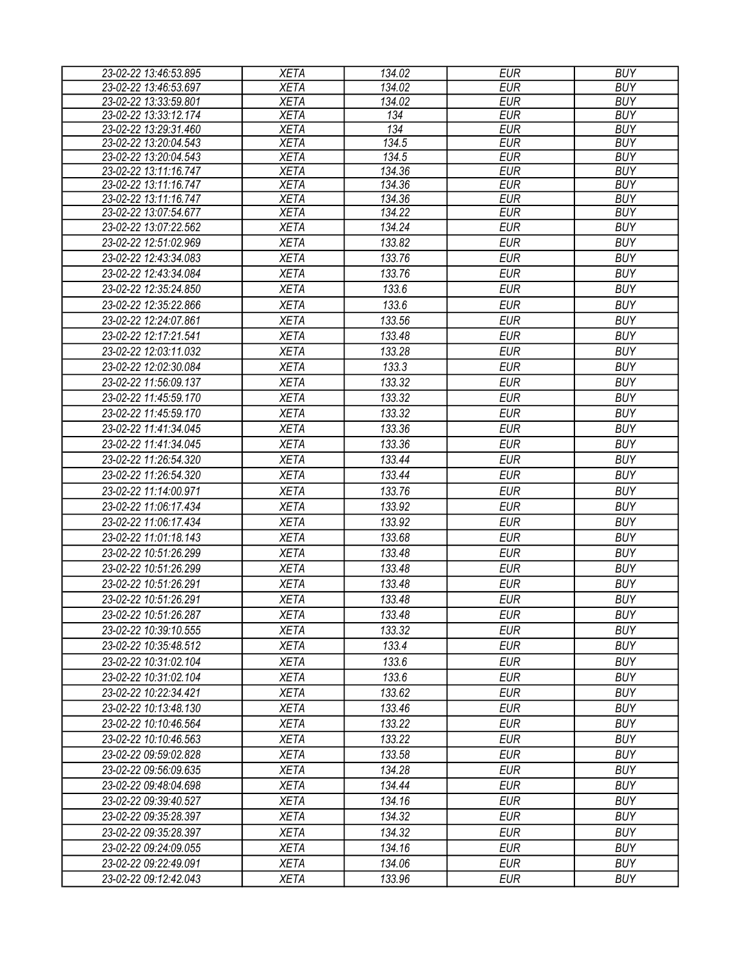| 23-02-22 13:46:53.895 | <b>XETA</b> | 134.02 | <b>EUR</b> | <b>BUY</b> |
|-----------------------|-------------|--------|------------|------------|
| 23-02-22 13:46:53.697 | <b>XETA</b> | 134.02 | <b>EUR</b> | <b>BUY</b> |
| 23-02-22 13:33:59.801 | <b>XETA</b> | 134.02 | <b>EUR</b> | <b>BUY</b> |
| 23-02-22 13:33:12.174 | <b>XETA</b> | 134    | <b>EUR</b> | <b>BUY</b> |
| 23-02-22 13:29:31.460 | <b>XETA</b> | 134    | <b>EUR</b> | <b>BUY</b> |
| 23-02-22 13:20:04.543 | <b>XETA</b> | 134.5  | <b>EUR</b> | <b>BUY</b> |
| 23-02-22 13:20:04.543 | <b>XETA</b> | 134.5  | <b>EUR</b> | <b>BUY</b> |
| 23-02-22 13:11:16.747 | <b>XETA</b> | 134.36 | <b>EUR</b> | <b>BUY</b> |
| 23-02-22 13:11:16.747 | <b>XETA</b> | 134.36 | <b>EUR</b> | <b>BUY</b> |
| 23-02-22 13:11:16.747 | <b>XETA</b> | 134.36 | <b>EUR</b> | <b>BUY</b> |
| 23-02-22 13:07:54.677 | <b>XETA</b> | 134.22 | <b>EUR</b> | <b>BUY</b> |
| 23-02-22 13:07:22.562 | <b>XETA</b> | 134.24 | <b>EUR</b> | <b>BUY</b> |
| 23-02-22 12:51:02.969 | <b>XETA</b> | 133.82 | <b>EUR</b> | <b>BUY</b> |
| 23-02-22 12:43:34.083 | <b>XETA</b> | 133.76 | <b>EUR</b> | <b>BUY</b> |
| 23-02-22 12:43:34.084 | <b>XETA</b> | 133.76 | <b>EUR</b> | <b>BUY</b> |
| 23-02-22 12:35:24.850 | <b>XETA</b> | 133.6  | <b>EUR</b> | <b>BUY</b> |
| 23-02-22 12:35:22.866 | <b>XETA</b> | 133.6  | <b>EUR</b> | <b>BUY</b> |
| 23-02-22 12:24:07.861 | <b>XETA</b> | 133.56 | <b>EUR</b> | <b>BUY</b> |
| 23-02-22 12:17:21.541 | <b>XETA</b> | 133.48 | <b>EUR</b> | <b>BUY</b> |
| 23-02-22 12:03:11.032 | <b>XETA</b> | 133.28 | <b>EUR</b> | <b>BUY</b> |
| 23-02-22 12:02:30.084 | <b>XETA</b> | 133.3  | <b>EUR</b> | <b>BUY</b> |
| 23-02-22 11:56:09.137 | <b>XETA</b> | 133.32 | <b>EUR</b> | <b>BUY</b> |
| 23-02-22 11:45:59.170 | <b>XETA</b> | 133.32 | <b>EUR</b> | <b>BUY</b> |
| 23-02-22 11:45:59.170 | <b>XETA</b> | 133.32 | <b>EUR</b> | <b>BUY</b> |
| 23-02-22 11:41:34.045 | <b>XETA</b> | 133.36 | <b>EUR</b> | <b>BUY</b> |
| 23-02-22 11:41:34.045 | <b>XETA</b> | 133.36 | <b>EUR</b> | <b>BUY</b> |
| 23-02-22 11:26:54.320 | <b>XETA</b> | 133.44 | <b>EUR</b> | <b>BUY</b> |
|                       |             |        | <b>EUR</b> |            |
| 23-02-22 11:26:54.320 | <b>XETA</b> | 133.44 |            | <b>BUY</b> |
| 23-02-22 11:14:00.971 | <b>XETA</b> | 133.76 | <b>EUR</b> | <b>BUY</b> |
| 23-02-22 11:06:17.434 | <b>XETA</b> | 133.92 | <b>EUR</b> | <b>BUY</b> |
| 23-02-22 11:06:17.434 | <b>XETA</b> | 133.92 | <b>EUR</b> | <b>BUY</b> |
| 23-02-22 11:01:18.143 | <b>XETA</b> | 133.68 | <b>EUR</b> | <b>BUY</b> |
| 23-02-22 10:51:26.299 | <b>XETA</b> | 133.48 | <b>EUR</b> | <b>BUY</b> |
| 23-02-22 10:51:26.299 | <b>XETA</b> | 133.48 | <b>EUR</b> | <b>BUY</b> |
| 23-02-22 10:51:26.291 | <b>XETA</b> | 133.48 | <b>EUR</b> | <b>BUY</b> |
| 23-02-22 10:51:26.291 | <b>XETA</b> | 133.48 | <b>EUR</b> | <b>BUY</b> |
| 23-02-22 10:51:26.287 | <b>XETA</b> | 133.48 | <b>EUR</b> | <b>BUY</b> |
| 23-02-22 10:39:10.555 | <b>XETA</b> | 133.32 | EUR        | <b>BUY</b> |
| 23-02-22 10:35:48.512 | <b>XETA</b> | 133.4  | <b>EUR</b> | <b>BUY</b> |
| 23-02-22 10:31:02.104 | <b>XETA</b> | 133.6  | <b>EUR</b> | <b>BUY</b> |
| 23-02-22 10:31:02.104 | <b>XETA</b> | 133.6  | <b>EUR</b> | <b>BUY</b> |
| 23-02-22 10:22:34.421 | <b>XETA</b> | 133.62 | <b>EUR</b> | <b>BUY</b> |
| 23-02-22 10:13:48.130 | <b>XETA</b> | 133.46 | <b>EUR</b> | <b>BUY</b> |
| 23-02-22 10:10:46.564 | <b>XETA</b> | 133.22 | <b>EUR</b> | <b>BUY</b> |
| 23-02-22 10:10:46.563 | <b>XETA</b> | 133.22 | <b>EUR</b> | <b>BUY</b> |
| 23-02-22 09:59:02.828 | <b>XETA</b> | 133.58 | <b>EUR</b> | <b>BUY</b> |
| 23-02-22 09:56:09.635 | <b>XETA</b> | 134.28 | EUR        | <b>BUY</b> |
| 23-02-22 09:48:04.698 | <b>XETA</b> | 134.44 | <b>EUR</b> | <b>BUY</b> |
| 23-02-22 09:39:40.527 | <b>XETA</b> | 134.16 | <b>EUR</b> | <b>BUY</b> |
| 23-02-22 09:35:28.397 | <b>XETA</b> | 134.32 | <b>EUR</b> | <b>BUY</b> |
| 23-02-22 09:35:28.397 | <b>XETA</b> | 134.32 | <b>EUR</b> | <b>BUY</b> |
| 23-02-22 09:24:09.055 | <b>XETA</b> | 134.16 | <b>EUR</b> | <b>BUY</b> |
| 23-02-22 09:22:49.091 | <b>XETA</b> | 134.06 | <b>EUR</b> | <b>BUY</b> |
| 23-02-22 09:12:42.043 | <b>XETA</b> | 133.96 | <b>EUR</b> | <b>BUY</b> |
|                       |             |        |            |            |